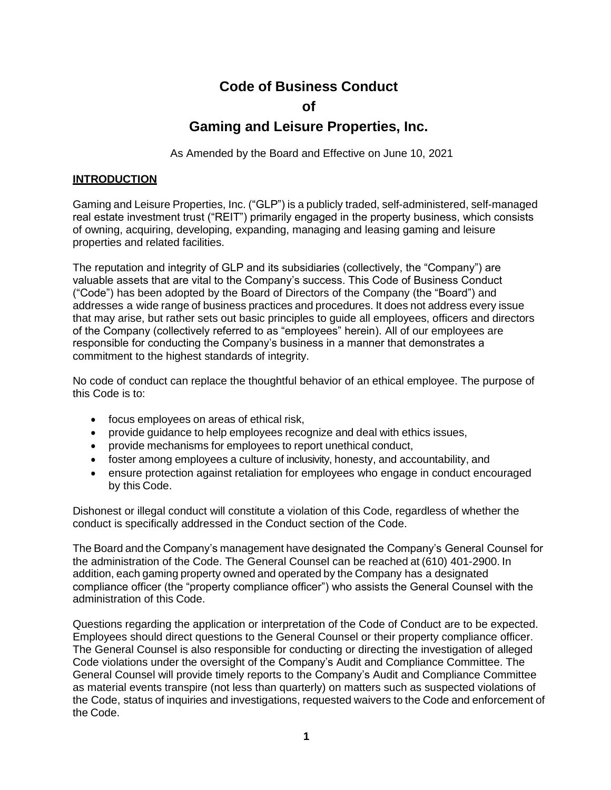# **Code of Business Conduct**

#### **of**

# **Gaming and Leisure Properties, Inc.**

As Amended by the Board and Effective on June 10, 2021

#### **INTRODUCTION**

Gaming and Leisure Properties, Inc. ("GLP") is a publicly traded, self-administered, self-managed real estate investment trust ("REIT") primarily engaged in the property business, which consists of owning, acquiring, developing, expanding, managing and leasing gaming and leisure properties and related facilities.

The reputation and integrity of GLP and its subsidiaries (collectively, the "Company") are valuable assets that are vital to the Company's success. This Code of Business Conduct ("Code") has been adopted by the Board of Directors of the Company (the "Board") and addresses a wide range of business practices and procedures. It does not address every issue that may arise, but rather sets out basic principles to guide all employees, officers and directors of the Company (collectively referred to as "employees" herein). All of our employees are responsible for conducting the Company's business in a manner that demonstrates a commitment to the highest standards of integrity.

No code of conduct can replace the thoughtful behavior of an ethical employee. The purpose of this Code is to:

- focus employees on areas of ethical risk,
- provide guidance to help employees recognize and deal with ethics issues,
- provide mechanisms for employees to report unethical conduct,
- foster among employees a culture of inclusivity, honesty, and accountability, and
- ensure protection against retaliation for employees who engage in conduct encouraged by this Code.

Dishonest or illegal conduct will constitute a violation of this Code, regardless of whether the conduct is specifically addressed in the Conduct section of the Code.

The Board and the Company's management have designated the Company's General Counsel for the administration of the Code. The General Counsel can be reached at (610) 401-2900. In addition, each gaming property owned and operated by the Company has a designated compliance officer (the "property compliance officer") who assists the General Counsel with the administration of this Code.

Questions regarding the application or interpretation of the Code of Conduct are to be expected. Employees should direct questions to the General Counsel or their property compliance officer. The General Counsel is also responsible for conducting or directing the investigation of alleged Code violations under the oversight of the Company's Audit and Compliance Committee. The General Counsel will provide timely reports to the Company's Audit and Compliance Committee as material events transpire (not less than quarterly) on matters such as suspected violations of the Code, status of inquiries and investigations, requested waivers to the Code and enforcement of the Code.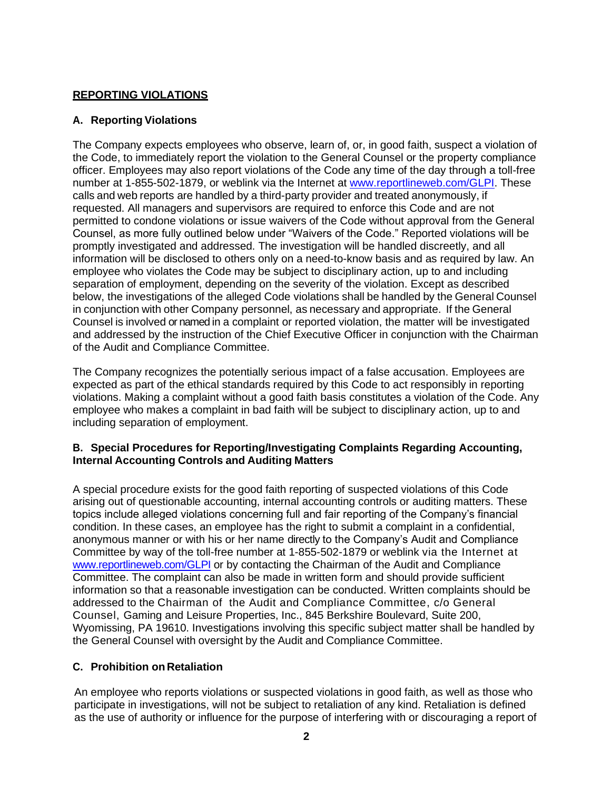## **REPORTING VIOLATIONS**

#### **A. Reporting Violations**

The Company expects employees who observe, learn of, or, in good faith, suspect a violation of the Code, to immediately report the violation to the General Counsel or the property compliance officer. Employees may also report violations of the Code any time of the day through a toll-free number at 1-855-502-1879, or weblink via the Internet at [www.reportlineweb.com/GLPI. T](http://www.reportlineweb.com/GLPI)hese calls and web reports are handled by a third-party provider and treated anonymously, if requested. All managers and supervisors are required to enforce this Code and are not permitted to condone violations or issue waivers of the Code without approval from the General Counsel, as more fully outlined below under "Waivers of the Code." Reported violations will be promptly investigated and addressed. The investigation will be handled discreetly, and all information will be disclosed to others only on a need-to-know basis and as required by law. An employee who violates the Code may be subject to disciplinary action, up to and including separation of employment, depending on the severity of the violation. Except as described below, the investigations of the alleged Code violations shall be handled by the General Counsel in conjunction with other Company personnel, as necessary and appropriate. If the General Counsel is involved or named in a complaint or reported violation, the matter will be investigated and addressed by the instruction of the Chief Executive Officer in conjunction with the Chairman of the Audit and Compliance Committee.

The Company recognizes the potentially serious impact of a false accusation. Employees are expected as part of the ethical standards required by this Code to act responsibly in reporting violations. Making a complaint without a good faith basis constitutes a violation of the Code. Any employee who makes a complaint in bad faith will be subject to disciplinary action, up to and including separation of employment.

#### **B. Special Procedures for Reporting/Investigating Complaints Regarding Accounting, Internal Accounting Controls and Auditing Matters**

A special procedure exists for the good faith reporting of suspected violations of this Code arising out of questionable accounting, internal accounting controls or auditing matters. These topics include alleged violations concerning full and fair reporting of the Company's financial condition. In these cases, an employee has the right to submit a complaint in a confidential, anonymous manner or with his or her name directly to the Company's Audit and Compliance Committee by way of the toll-free number at 1-855-502-1879 or weblink via the Internet at [www.reportlineweb.com/GLPI](http://www.reportlineweb.com/GLPI) or by contacting the Chairman of the Audit and Compliance Committee. The complaint can also be made in written form and should provide sufficient information so that a reasonable investigation can be conducted. Written complaints should be addressed to the Chairman of the Audit and Compliance Committee, c/o General Counsel, Gaming and Leisure Properties, Inc., 845 Berkshire Boulevard, Suite 200, Wyomissing, PA 19610. Investigations involving this specific subject matter shall be handled by the General Counsel with oversight by the Audit and Compliance Committee.

### **C. Prohibition on Retaliation**

An employee who reports violations or suspected violations in good faith, as well as those who participate in investigations, will not be subject to retaliation of any kind. Retaliation is defined as the use of authority or influence for the purpose of interfering with or discouraging a report of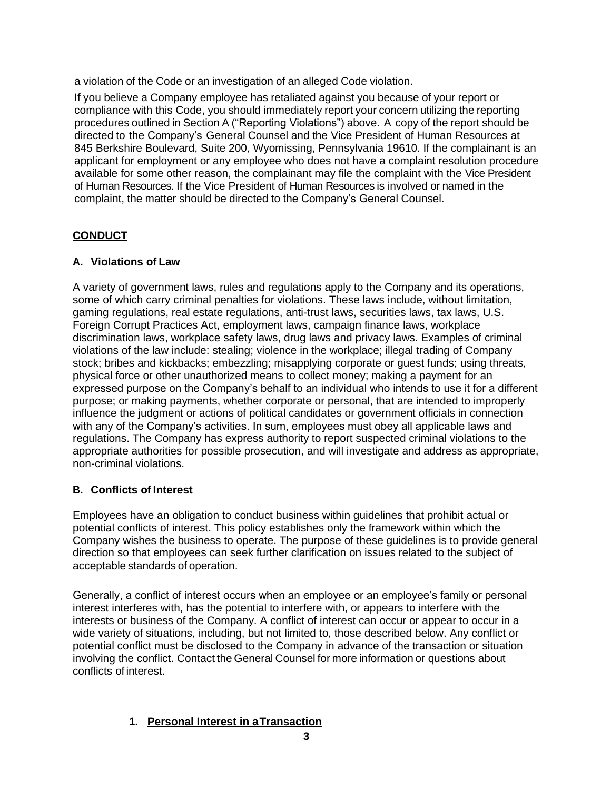a violation of the Code or an investigation of an alleged Code violation.

If you believe a Company employee has retaliated against you because of your report or compliance with this Code, you should immediately report your concern utilizing the reporting procedures outlined in Section A ("Reporting Violations") above. A copy of the report should be directed to the Company's General Counsel and the Vice President of Human Resources at 845 Berkshire Boulevard, Suite 200, Wyomissing, Pennsylvania 19610. If the complainant is an applicant for employment or any employee who does not have a complaint resolution procedure available for some other reason, the complainant may file the complaint with the Vice President of Human Resources. If the Vice President of Human Resources is involved or named in the complaint, the matter should be directed to the Company's General Counsel.

## **CONDUCT**

### **A. Violations of Law**

A variety of government laws, rules and regulations apply to the Company and its operations, some of which carry criminal penalties for violations. These laws include, without limitation, gaming regulations, real estate regulations, anti-trust laws, securities laws, tax laws, U.S. Foreign Corrupt Practices Act, employment laws, campaign finance laws, workplace discrimination laws, workplace safety laws, drug laws and privacy laws. Examples of criminal violations of the law include: stealing; violence in the workplace; illegal trading of Company stock; bribes and kickbacks; embezzling; misapplying corporate or guest funds; using threats, physical force or other unauthorized means to collect money; making a payment for an expressed purpose on the Company's behalf to an individual who intends to use it for a different purpose; or making payments, whether corporate or personal, that are intended to improperly influence the judgment or actions of political candidates or government officials in connection with any of the Company's activities. In sum, employees must obey all applicable laws and regulations. The Company has express authority to report suspected criminal violations to the appropriate authorities for possible prosecution, and will investigate and address as appropriate, non-criminal violations.

### **B. Conflicts of Interest**

Employees have an obligation to conduct business within guidelines that prohibit actual or potential conflicts of interest. This policy establishes only the framework within which the Company wishes the business to operate. The purpose of these guidelines is to provide general direction so that employees can seek further clarification on issues related to the subject of acceptable standards of operation.

Generally, a conflict of interest occurs when an employee or an employee's family or personal interest interferes with, has the potential to interfere with, or appears to interfere with the interests or business of the Company. A conflict of interest can occur or appear to occur in a wide variety of situations, including, but not limited to, those described below. Any conflict or potential conflict must be disclosed to the Company in advance of the transaction or situation involving the conflict. Contact the General Counsel for more information or questions about conflicts of interest.

# **1. Personal Interest in aTransaction**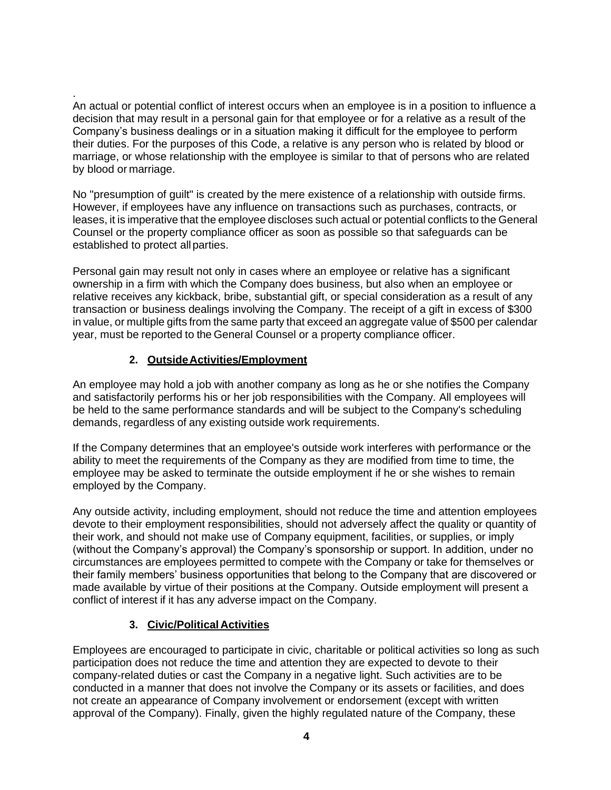. An actual or potential conflict of interest occurs when an employee is in a position to influence a decision that may result in a personal gain for that employee or for a relative as a result of the Company's business dealings or in a situation making it difficult for the employee to perform their duties. For the purposes of this Code, a relative is any person who is related by blood or marriage, or whose relationship with the employee is similar to that of persons who are related by blood or marriage.

No "presumption of guilt" is created by the mere existence of a relationship with outside firms. However, if employees have any influence on transactions such as purchases, contracts, or leases, it is imperative that the employee discloses such actual or potential conflicts to the General Counsel or the property compliance officer as soon as possible so that safeguards can be established to protect allparties.

Personal gain may result not only in cases where an employee or relative has a significant ownership in a firm with which the Company does business, but also when an employee or relative receives any kickback, bribe, substantial gift, or special consideration as a result of any transaction or business dealings involving the Company. The receipt of a gift in excess of \$300 in value, or multiple gifts from the same party that exceed an aggregate value of \$500 per calendar year, must be reported to the General Counsel or a property compliance officer.

## **2. OutsideActivities/Employment**

An employee may hold a job with another company as long as he or she notifies the Company and satisfactorily performs his or her job responsibilities with the Company. All employees will be held to the same performance standards and will be subject to the Company's scheduling demands, regardless of any existing outside work requirements.

If the Company determines that an employee's outside work interferes with performance or the ability to meet the requirements of the Company as they are modified from time to time, the employee may be asked to terminate the outside employment if he or she wishes to remain employed by the Company.

Any outside activity, including employment, should not reduce the time and attention employees devote to their employment responsibilities, should not adversely affect the quality or quantity of their work, and should not make use of Company equipment, facilities, or supplies, or imply (without the Company's approval) the Company's sponsorship or support. In addition, under no circumstances are employees permitted to compete with the Company or take for themselves or their family members' business opportunities that belong to the Company that are discovered or made available by virtue of their positions at the Company. Outside employment will present a conflict of interest if it has any adverse impact on the Company.

### **3. Civic/Political Activities**

Employees are encouraged to participate in civic, charitable or political activities so long as such participation does not reduce the time and attention they are expected to devote to their company-related duties or cast the Company in a negative light. Such activities are to be conducted in a manner that does not involve the Company or its assets or facilities, and does not create an appearance of Company involvement or endorsement (except with written approval of the Company). Finally, given the highly regulated nature of the Company, these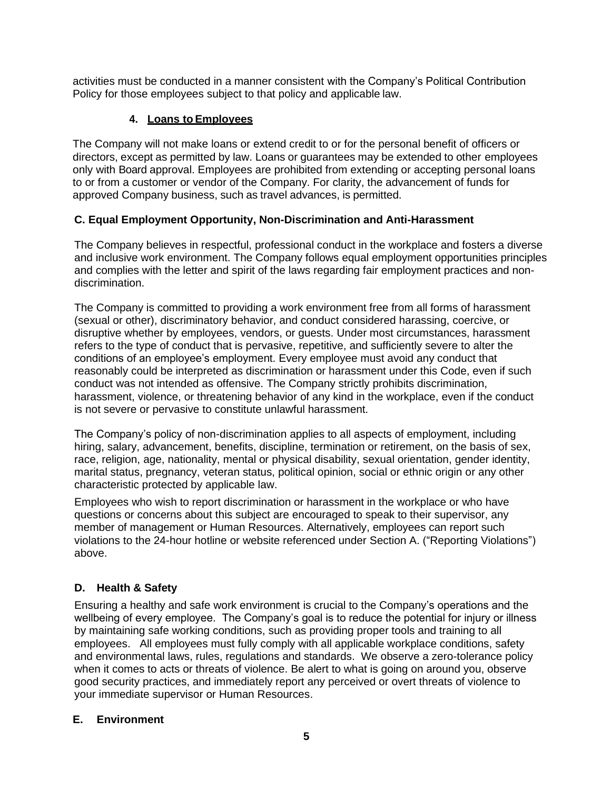activities must be conducted in a manner consistent with the Company's Political Contribution Policy for those employees subject to that policy and applicable law.

#### **4. Loans toEmployees**

The Company will not make loans or extend credit to or for the personal benefit of officers or directors, except as permitted by law. Loans or guarantees may be extended to other employees only with Board approval. Employees are prohibited from extending or accepting personal loans to or from a customer or vendor of the Company. For clarity, the advancement of funds for approved Company business, such as travel advances, is permitted.

#### **C. Equal Employment Opportunity, Non-Discrimination and Anti-Harassment**

The Company believes in respectful, professional conduct in the workplace and fosters a diverse and inclusive work environment. The Company follows equal employment opportunities principles and complies with the letter and spirit of the laws regarding fair employment practices and nondiscrimination.

The Company is committed to providing a work environment free from all forms of harassment (sexual or other), discriminatory behavior, and conduct considered harassing, coercive, or disruptive whether by employees, vendors, or guests. Under most circumstances, harassment refers to the type of conduct that is pervasive, repetitive, and sufficiently severe to alter the conditions of an employee's employment. Every employee must avoid any conduct that reasonably could be interpreted as discrimination or harassment under this Code, even if such conduct was not intended as offensive. The Company strictly prohibits discrimination, harassment, violence, or threatening behavior of any kind in the workplace, even if the conduct is not severe or pervasive to constitute unlawful harassment.

The Company's policy of non-discrimination applies to all aspects of employment, including hiring, salary, advancement, benefits, discipline, termination or retirement, on the basis of sex, race, religion, age, nationality, mental or physical disability, sexual orientation, gender identity, marital status, pregnancy, veteran status, political opinion, social or ethnic origin or any other characteristic protected by applicable law.

Employees who wish to report discrimination or harassment in the workplace or who have questions or concerns about this subject are encouraged to speak to their supervisor, any member of management or Human Resources. Alternatively, employees can report such violations to the 24-hour hotline or website referenced under Section A. ("Reporting Violations") above.

### **D. Health & Safety**

Ensuring a healthy and safe work environment is crucial to the Company's operations and the wellbeing of every employee. The Company's goal is to reduce the potential for injury or illness by maintaining safe working conditions, such as providing proper tools and training to all employees. All employees must fully comply with all applicable workplace conditions, safety and environmental laws, rules, regulations and standards. We observe a zero-tolerance policy when it comes to acts or threats of violence. Be alert to what is going on around you, observe good security practices, and immediately report any perceived or overt threats of violence to your immediate supervisor or Human Resources.

#### **E. Environment**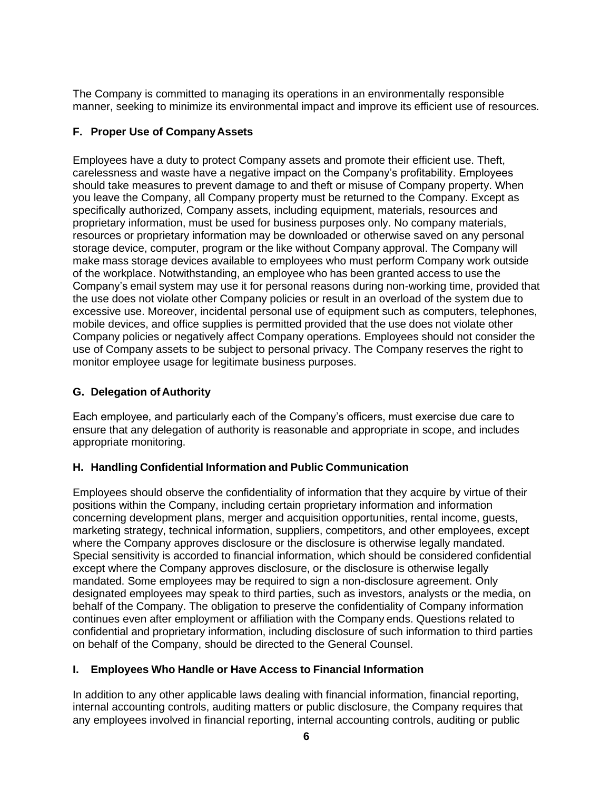The Company is committed to managing its operations in an environmentally responsible manner, seeking to minimize its environmental impact and improve its efficient use of resources.

## **F. Proper Use of CompanyAssets**

Employees have a duty to protect Company assets and promote their efficient use. Theft, carelessness and waste have a negative impact on the Company's profitability. Employees should take measures to prevent damage to and theft or misuse of Company property. When you leave the Company, all Company property must be returned to the Company. Except as specifically authorized, Company assets, including equipment, materials, resources and proprietary information, must be used for business purposes only. No company materials, resources or proprietary information may be downloaded or otherwise saved on any personal storage device, computer, program or the like without Company approval. The Company will make mass storage devices available to employees who must perform Company work outside of the workplace. Notwithstanding, an employee who has been granted access to use the Company's email system may use it for personal reasons during non-working time, provided that the use does not violate other Company policies or result in an overload of the system due to excessive use. Moreover, incidental personal use of equipment such as computers, telephones, mobile devices, and office supplies is permitted provided that the use does not violate other Company policies or negatively affect Company operations. Employees should not consider the use of Company assets to be subject to personal privacy. The Company reserves the right to monitor employee usage for legitimate business purposes.

## **G. Delegation ofAuthority**

Each employee, and particularly each of the Company's officers, must exercise due care to ensure that any delegation of authority is reasonable and appropriate in scope, and includes appropriate monitoring.

### **H. Handling Confidential Information and Public Communication**

Employees should observe the confidentiality of information that they acquire by virtue of their positions within the Company, including certain proprietary information and information concerning development plans, merger and acquisition opportunities, rental income, guests, marketing strategy, technical information, suppliers, competitors, and other employees, except where the Company approves disclosure or the disclosure is otherwise legally mandated. Special sensitivity is accorded to financial information, which should be considered confidential except where the Company approves disclosure, or the disclosure is otherwise legally mandated. Some employees may be required to sign a non-disclosure agreement. Only designated employees may speak to third parties, such as investors, analysts or the media, on behalf of the Company. The obligation to preserve the confidentiality of Company information continues even after employment or affiliation with the Company ends. Questions related to confidential and proprietary information, including disclosure of such information to third parties on behalf of the Company, should be directed to the General Counsel.

### **I. Employees Who Handle or Have Access to Financial Information**

In addition to any other applicable laws dealing with financial information, financial reporting, internal accounting controls, auditing matters or public disclosure, the Company requires that any employees involved in financial reporting, internal accounting controls, auditing or public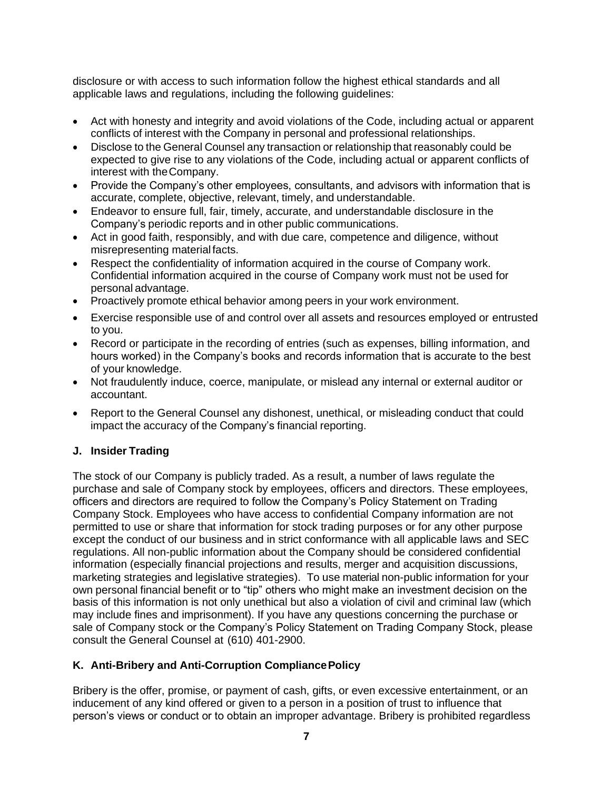disclosure or with access to such information follow the highest ethical standards and all applicable laws and regulations, including the following guidelines:

- Act with honesty and integrity and avoid violations of the Code, including actual or apparent conflicts of interest with the Company in personal and professional relationships.
- Disclose to the General Counsel any transaction or relationship that reasonably could be expected to give rise to any violations of the Code, including actual or apparent conflicts of interest with theCompany.
- Provide the Company's other employees, consultants, and advisors with information that is accurate, complete, objective, relevant, timely, and understandable.
- Endeavor to ensure full, fair, timely, accurate, and understandable disclosure in the Company's periodic reports and in other public communications.
- Act in good faith, responsibly, and with due care, competence and diligence, without misrepresenting materialfacts.
- Respect the confidentiality of information acquired in the course of Company work. Confidential information acquired in the course of Company work must not be used for personal advantage.
- Proactively promote ethical behavior among peers in your work environment.
- Exercise responsible use of and control over all assets and resources employed or entrusted to you.
- Record or participate in the recording of entries (such as expenses, billing information, and hours worked) in the Company's books and records information that is accurate to the best of your knowledge.
- Not fraudulently induce, coerce, manipulate, or mislead any internal or external auditor or accountant.
- Report to the General Counsel any dishonest, unethical, or misleading conduct that could impact the accuracy of the Company's financial reporting.

#### **J. Insider Trading**

The stock of our Company is publicly traded. As a result, a number of laws regulate the purchase and sale of Company stock by employees, officers and directors. These employees, officers and directors are required to follow the Company's Policy Statement on Trading Company Stock. Employees who have access to confidential Company information are not permitted to use or share that information for stock trading purposes or for any other purpose except the conduct of our business and in strict conformance with all applicable laws and SEC regulations. All non-public information about the Company should be considered confidential information (especially financial projections and results, merger and acquisition discussions, marketing strategies and legislative strategies). To use material non-public information for your own personal financial benefit or to "tip" others who might make an investment decision on the basis of this information is not only unethical but also a violation of civil and criminal law (which may include fines and imprisonment). If you have any questions concerning the purchase or sale of Company stock or the Company's Policy Statement on Trading Company Stock, please consult the General Counsel at (610) 401-2900.

#### **K. Anti-Bribery and Anti-Corruption CompliancePolicy**

Bribery is the offer, promise, or payment of cash, gifts, or even excessive entertainment, or an inducement of any kind offered or given to a person in a position of trust to influence that person's views or conduct or to obtain an improper advantage. Bribery is prohibited regardless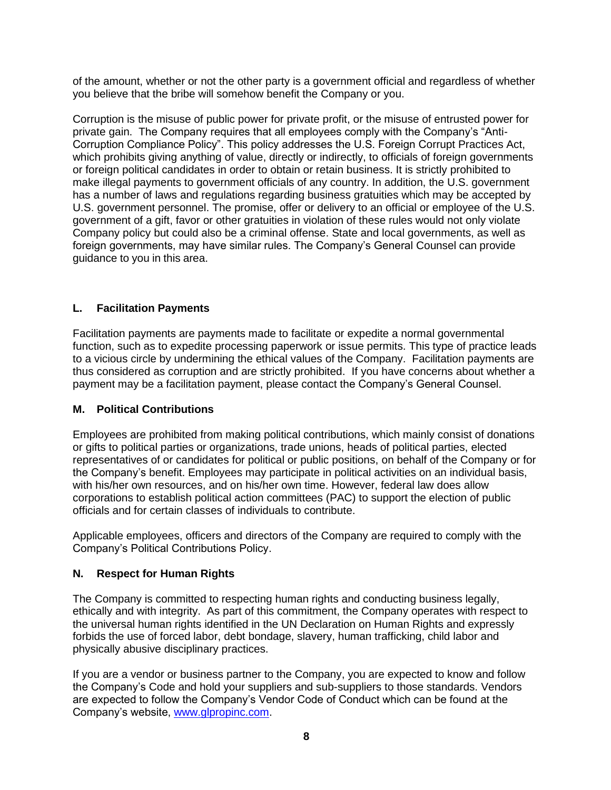of the amount, whether or not the other party is a government official and regardless of whether you believe that the bribe will somehow benefit the Company or you.

Corruption is the misuse of public power for private profit, or the misuse of entrusted power for private gain. The Company requires that all employees comply with the Company's "Anti-Corruption Compliance Policy". This policy addresses the U.S. Foreign Corrupt Practices Act, which prohibits giving anything of value, directly or indirectly, to officials of foreign governments or foreign political candidates in order to obtain or retain business. It is strictly prohibited to make illegal payments to government officials of any country. In addition, the U.S. government has a number of laws and regulations regarding business gratuities which may be accepted by U.S. government personnel. The promise, offer or delivery to an official or employee of the U.S. government of a gift, favor or other gratuities in violation of these rules would not only violate Company policy but could also be a criminal offense. State and local governments, as well as foreign governments, may have similar rules. The Company's General Counsel can provide guidance to you in this area.

#### **L. Facilitation Payments**

Facilitation payments are payments made to facilitate or expedite a normal governmental function, such as to expedite processing paperwork or issue permits. This type of practice leads to a vicious circle by undermining the ethical values of the Company. Facilitation payments are thus considered as corruption and are strictly prohibited. If you have concerns about whether a payment may be a facilitation payment, please contact the Company's General Counsel.

#### **M. Political Contributions**

Employees are prohibited from making political contributions, which mainly consist of donations or gifts to political parties or organizations, trade unions, heads of political parties, elected representatives of or candidates for political or public positions, on behalf of the Company or for the Company's benefit. Employees may participate in political activities on an individual basis, with his/her own resources, and on his/her own time. However, federal law does allow corporations to establish political action committees (PAC) to support the election of public officials and for certain classes of individuals to contribute.

Applicable employees, officers and directors of the Company are required to comply with the Company's Political Contributions Policy.

#### **N. Respect for Human Rights**

The Company is committed to respecting human rights and conducting business legally, ethically and with integrity. As part of this commitment, the Company operates with respect to the universal human rights identified in the UN Declaration on Human Rights and expressly forbids the use of forced labor, debt bondage, slavery, human trafficking, child labor and physically abusive disciplinary practices.

If you are a vendor or business partner to the Company, you are expected to know and follow the Company's Code and hold your suppliers and sub-suppliers to those standards. Vendors are expected to follow the Company's Vendor Code of Conduct which can be found at the Company's website, [www.glpropinc.com.](http://www.glpropinc.com/)